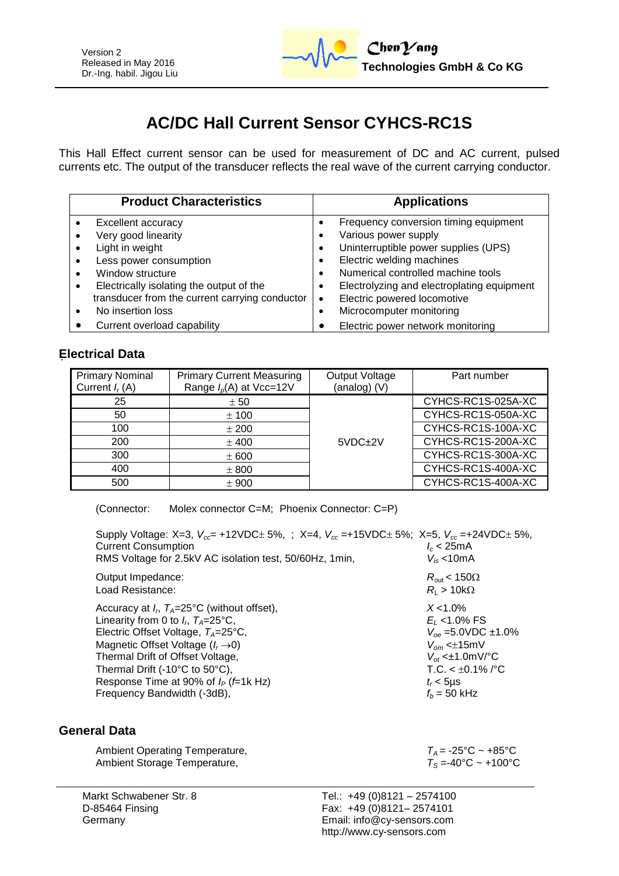# **AC/DC Hall Current Sensor CYHCS-RC1S**

This Hall Effect current sensor can be used for measurement of DC and AC current, pulsed currents etc. The output of the transducer reflects the real wave of the current carrying conductor.

| <b>Product Characteristics</b>                 | <b>Applications</b>                             |  |  |  |
|------------------------------------------------|-------------------------------------------------|--|--|--|
| Excellent accuracy                             | Frequency conversion timing equipment           |  |  |  |
| Very good linearity                            | Various power supply                            |  |  |  |
| Light in weight                                | Uninterruptible power supplies (UPS)<br>٠       |  |  |  |
| Less power consumption                         | Electric welding machines                       |  |  |  |
| Window structure                               | Numerical controlled machine tools<br>٠         |  |  |  |
| Electrically isolating the output of the       | Electrolyzing and electroplating equipment<br>٠ |  |  |  |
| transducer from the current carrying conductor | Electric powered locomotive<br>٠                |  |  |  |
| No insertion loss                              | Microcomputer monitoring                        |  |  |  |
| Current overload capability                    | Electric power network monitoring               |  |  |  |

## **Electrical Data**

| <b>Primary Nominal</b><br>Current $I_r(A)$ | <b>Primary Current Measuring</b><br>Range $I_p(A)$ at Vcc=12V | Output Voltage<br>(analog) (V) | Part number        |
|--------------------------------------------|---------------------------------------------------------------|--------------------------------|--------------------|
| 25                                         | ± 50                                                          |                                | CYHCS-RC1S-025A-XC |
| 50                                         | ± 100                                                         | $5VDC+2V$                      | CYHCS-RC1S-050A-XC |
| 100                                        | ± 200                                                         |                                | CYHCS-RC1S-100A-XC |
| 200                                        | $±$ 400                                                       |                                | CYHCS-RC1S-200A-XC |
| 300                                        | ± 600                                                         |                                | CYHCS-RC1S-300A-XC |
| 400                                        | ± 800                                                         |                                | CYHCS-RC1S-400A-XC |
| 500                                        | ± 900                                                         |                                | CYHCS-RC1S-400A-XC |

(Connector: Molex connector C=M; Phoenix Connector: C=P)

| Supply Voltage: X=3, $V_{cc}$ = +12VDC ± 5%, ; X=4, $V_{cc}$ = +15VDC ± 5%; X=5, $V_{cc}$ = +24VDC ± 5%,<br><b>Current Consumption</b><br>RMS Voltage for 2.5kV AC isolation test, 50/60Hz, 1min, | $l_c$ < 25mA<br>$V_{is}$ <10mA  |
|---------------------------------------------------------------------------------------------------------------------------------------------------------------------------------------------------|---------------------------------|
| Output Impedance:                                                                                                                                                                                 | $R_{\rm out}$ < 150 $\Omega$    |
| Load Resistance:                                                                                                                                                                                  | $R_{\rm I} > 10 {\rm k}\Omega$  |
| Accuracy at $I_{r}$ , $T_{A}=25^{\circ}$ C (without offset),                                                                                                                                      | $X < 1.0\%$                     |
| Linearity from 0 to $I_r$ , $T_A = 25$ °C,                                                                                                                                                        | $E_1$ <1.0% FS                  |
| Electric Offset Voltage, $T_A = 25^{\circ}C$ ,                                                                                                                                                    | $V_{oe}$ =5.0VDC ±1.0%          |
| Magnetic Offset Voltage $(I_r \rightarrow 0)$                                                                                                                                                     | $V_{\text{om}}$ < $\pm$ 15mV    |
| Thermal Drift of Offset Voltage,                                                                                                                                                                  | $V_{\alpha t}$ < $\pm$ 1.0mV/°C |
| Thermal Drift (-10°C to 50°C),                                                                                                                                                                    | $T.C. < \pm 0.1\%$ /°C          |
| Response Time at 90% of $I_P$ ( <i>f</i> =1k Hz)                                                                                                                                                  | $t_r$ < 5µs                     |
| Frequency Bandwidth (-3dB),                                                                                                                                                                       | $f_h$ = 50 kHz                  |

### **General Data**

| Ambient Operating Temperature, | $T_A$ = -25°C ~ +85°C                    |
|--------------------------------|------------------------------------------|
| Ambient Storage Temperature,   | $T_s = 40^{\circ}$ C ~ +100 $^{\circ}$ C |

Markt Schwabener Str. 8 D-85464 Finsing **Germany**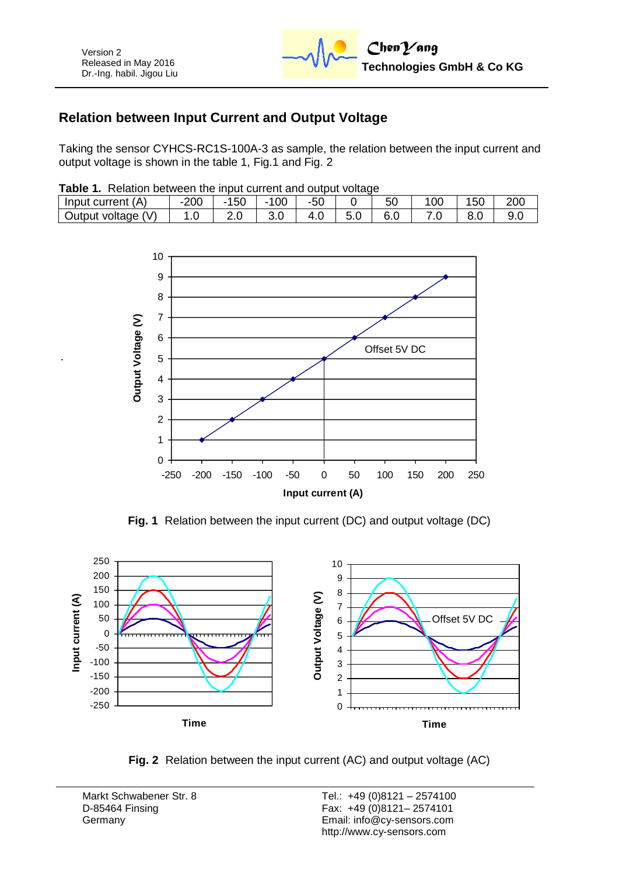# **Relation between Input Current and Output Voltage**

Taking the sensor CYHCS-RC1S-100A-3 as sample, the relation between the input current and output voltage is shown in the table 1, Fig.1 and Fig. 2

| <b>Table 1.</b> Relation between the input current and output voltage |  |  |  |  |
|-----------------------------------------------------------------------|--|--|--|--|
|                                                                       |  |  |  |  |

| .                  |       |             |     |       |  |    |  |     |     |
|--------------------|-------|-------------|-----|-------|--|----|--|-----|-----|
| Input current (A)  | 200   | -150<br>- 1 | 100 | $-50$ |  | 50 |  | 150 | 200 |
| Output voltage (V) | . . U |             |     |       |  | C. |  |     |     |



**Fig. 1** Relation between the input current (DC) and output voltage (DC)



**Fig. 2** Relation between the input current (AC) and output voltage (AC)